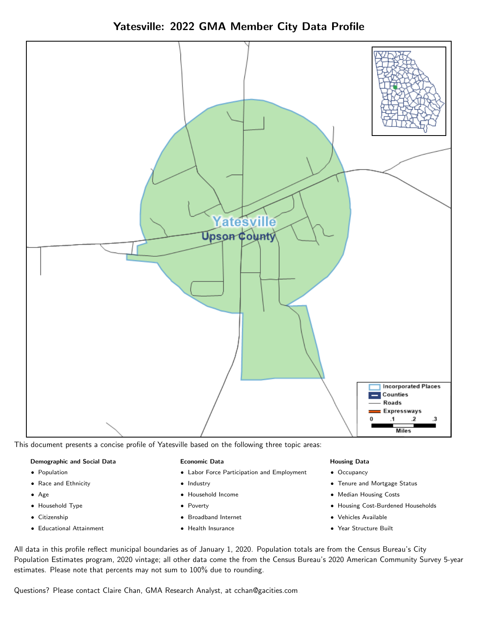Yatesville: 2022 GMA Member City Data Profile



This document presents a concise profile of Yatesville based on the following three topic areas:

#### Demographic and Social Data

- **•** Population
- Race and Ethnicity
- Age
- Household Type
- **Citizenship**
- Educational Attainment

#### Economic Data

- Labor Force Participation and Employment
- Industry
- Household Income
- Poverty
- Broadband Internet
- Health Insurance

#### Housing Data

- Occupancy
- Tenure and Mortgage Status
- Median Housing Costs
- Housing Cost-Burdened Households
- Vehicles Available
- Year Structure Built

All data in this profile reflect municipal boundaries as of January 1, 2020. Population totals are from the Census Bureau's City Population Estimates program, 2020 vintage; all other data come the from the Census Bureau's 2020 American Community Survey 5-year estimates. Please note that percents may not sum to 100% due to rounding.

Questions? Please contact Claire Chan, GMA Research Analyst, at [cchan@gacities.com.](mailto:cchan@gacities.com)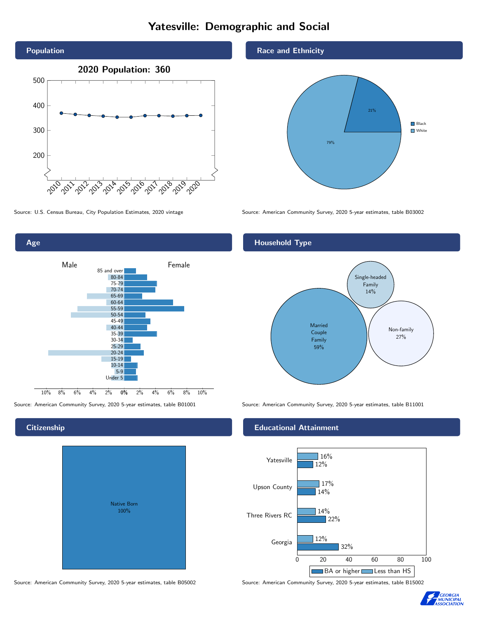## Yatesville: Demographic and Social





### **Citizenship**

| <b>Native Born</b><br>100% |  |
|----------------------------|--|

Race and Ethnicity



Source: U.S. Census Bureau, City Population Estimates, 2020 vintage Source: American Community Survey, 2020 5-year estimates, table B03002

#### Household Type



Source: American Community Survey, 2020 5-year estimates, table B01001 Source: American Community Survey, 2020 5-year estimates, table B11001

#### Educational Attainment



Source: American Community Survey, 2020 5-year estimates, table B05002 Source: American Community Survey, 2020 5-year estimates, table B15002

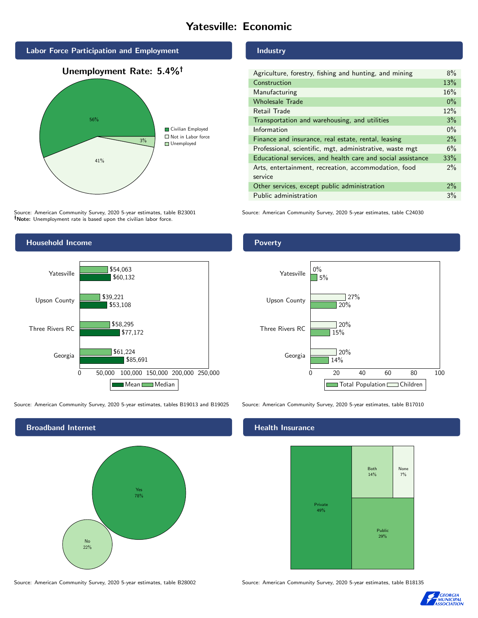## Yatesville: Economic



Source: American Community Survey, 2020 5-year estimates, table B23001 Note: Unemployment rate is based upon the civilian labor force.



Source: American Community Survey, 2020 5-year estimates, tables B19013 and B19025 Source: American Community Survey, 2020 5-year estimates, table B17010



Industry

| Agriculture, forestry, fishing and hunting, and mining      |       |
|-------------------------------------------------------------|-------|
| Construction                                                |       |
| Manufacturing                                               | 16%   |
| <b>Wholesale Trade</b>                                      | $0\%$ |
| Retail Trade                                                | 12%   |
| Transportation and warehousing, and utilities               |       |
| Information                                                 | $0\%$ |
| Finance and insurance, real estate, rental, leasing         |       |
| Professional, scientific, mgt, administrative, waste mgt    |       |
| Educational services, and health care and social assistance |       |
| Arts, entertainment, recreation, accommodation, food        |       |
| service                                                     |       |
| Other services, except public administration                |       |
| Public administration                                       |       |

Source: American Community Survey, 2020 5-year estimates, table C24030

#### Poverty



#### **Health Insurance**



Source: American Community Survey, 2020 5-year estimates, table B28002 Source: American Community Survey, 2020 5-year estimates, table B18135